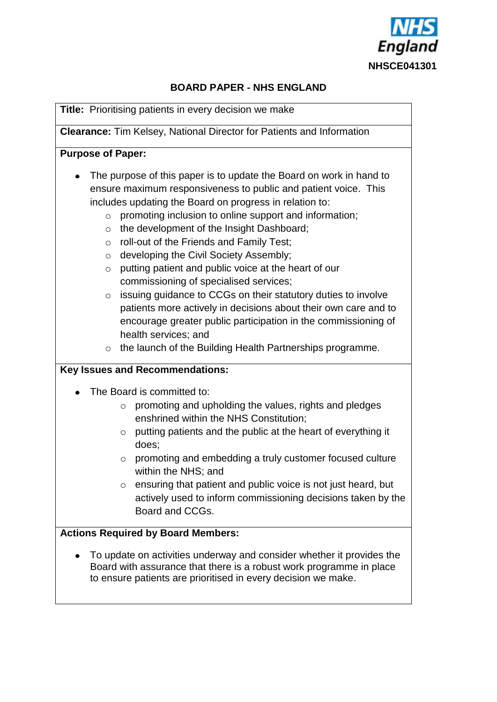

# **BOARD PAPER - NHS ENGLAND**

**Title:** Prioritising patients in every decision we make

**Clearance:** Tim Kelsey, National Director for Patients and Information

#### **Purpose of Paper:**

- The purpose of this paper is to update the Board on work in hand to ensure maximum responsiveness to public and patient voice. This includes updating the Board on progress in relation to:
	- o promoting inclusion to online support and information;
	- o the development of the Insight Dashboard;
	- o roll-out of the Friends and Family Test;
	- o developing the Civil Society Assembly;
	- o putting patient and public voice at the heart of our commissioning of specialised services;
	- o issuing guidance to CCGs on their statutory duties to involve patients more actively in decisions about their own care and to encourage greater public participation in the commissioning of health services; and
	- o the launch of the Building Health Partnerships programme.

### **Key Issues and Recommendations:**

- The Board is committed to:
	- o promoting and upholding the values, rights and pledges enshrined within the NHS Constitution;
	- o putting patients and the public at the heart of everything it does;
	- o promoting and embedding a truly customer focused culture within the NHS; and
	- o ensuring that patient and public voice is not just heard, but actively used to inform commissioning decisions taken by the Board and CCGs.

### **Actions Required by Board Members:**

To update on activities underway and consider whether it provides the  $\bullet$ Board with assurance that there is a robust work programme in place to ensure patients are prioritised in every decision we make.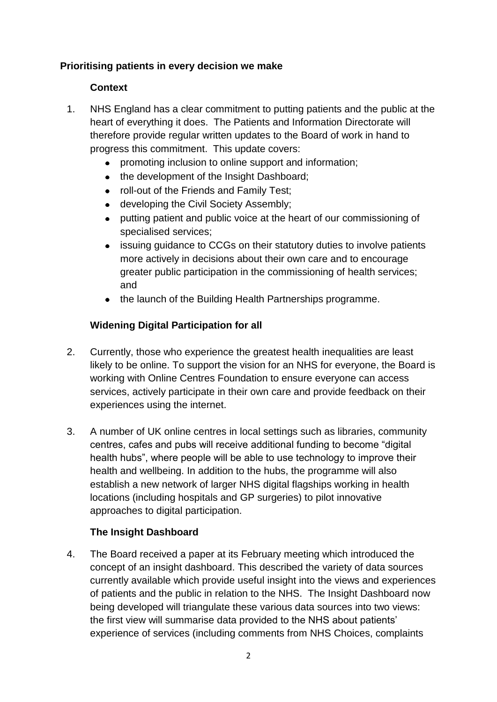### **Prioritising patients in every decision we make**

### **Context**

- 1. NHS England has a clear commitment to putting patients and the public at the heart of everything it does. The Patients and Information Directorate will therefore provide regular written updates to the Board of work in hand to progress this commitment. This update covers:
	- promoting inclusion to online support and information;
	- the development of the Insight Dashboard;
	- roll-out of the Friends and Family Test;
	- developing the Civil Society Assembly;
	- putting patient and public voice at the heart of our commissioning of specialised services;
	- issuing guidance to CCGs on their statutory duties to involve patients more actively in decisions about their own care and to encourage greater public participation in the commissioning of health services; and
	- the launch of the Building Health Partnerships programme.

# **Widening Digital Participation for all**

- 2. Currently, those who experience the greatest health inequalities are least likely to be online. To support the vision for an NHS for everyone, the Board is working with Online Centres Foundation to ensure everyone can access services, actively participate in their own care and provide feedback on their experiences using the internet.
- 3. A number of UK online centres in local settings such as libraries, community centres, cafes and pubs will receive additional funding to become "digital health hubs", where people will be able to use technology to improve their health and wellbeing. In addition to the hubs, the programme will also establish a new network of larger NHS digital flagships working in health locations (including hospitals and GP surgeries) to pilot innovative approaches to digital participation.

### **The Insight Dashboard**

4. The Board received a paper at its February meeting which introduced the concept of an insight dashboard. This described the variety of data sources currently available which provide useful insight into the views and experiences of patients and the public in relation to the NHS. The Insight Dashboard now being developed will triangulate these various data sources into two views: the first view will summarise data provided to the NHS about patients" experience of services (including comments from NHS Choices, complaints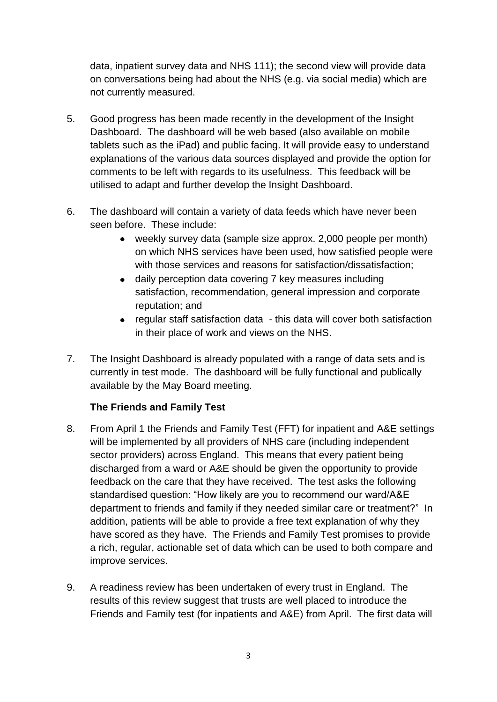data, inpatient survey data and NHS 111); the second view will provide data on conversations being had about the NHS (e.g. via social media) which are not currently measured.

- 5. Good progress has been made recently in the development of the Insight Dashboard. The dashboard will be web based (also available on mobile tablets such as the iPad) and public facing. It will provide easy to understand explanations of the various data sources displayed and provide the option for comments to be left with regards to its usefulness. This feedback will be utilised to adapt and further develop the Insight Dashboard.
- 6. The dashboard will contain a variety of data feeds which have never been seen before. These include:
	- weekly survey data (sample size approx. 2,000 people per month) on which NHS services have been used, how satisfied people were with those services and reasons for satisfaction/dissatisfaction;
	- daily perception data covering 7 key measures including satisfaction, recommendation, general impression and corporate reputation; and
	- regular staff satisfaction data this data will cover both satisfaction in their place of work and views on the NHS.
- 7. The Insight Dashboard is already populated with a range of data sets and is currently in test mode. The dashboard will be fully functional and publically available by the May Board meeting.

# **The Friends and Family Test**

- 8. From April 1 the Friends and Family Test (FFT) for inpatient and A&E settings will be implemented by all providers of NHS care (including independent sector providers) across England. This means that every patient being discharged from a ward or A&E should be given the opportunity to provide feedback on the care that they have received. The test asks the following standardised question: "How likely are you to recommend our ward/A&E department to friends and family if they needed similar care or treatment?" In addition, patients will be able to provide a free text explanation of why they have scored as they have. The Friends and Family Test promises to provide a rich, regular, actionable set of data which can be used to both compare and improve services.
- 9. A readiness review has been undertaken of every trust in England. The results of this review suggest that trusts are well placed to introduce the Friends and Family test (for inpatients and A&E) from April. The first data will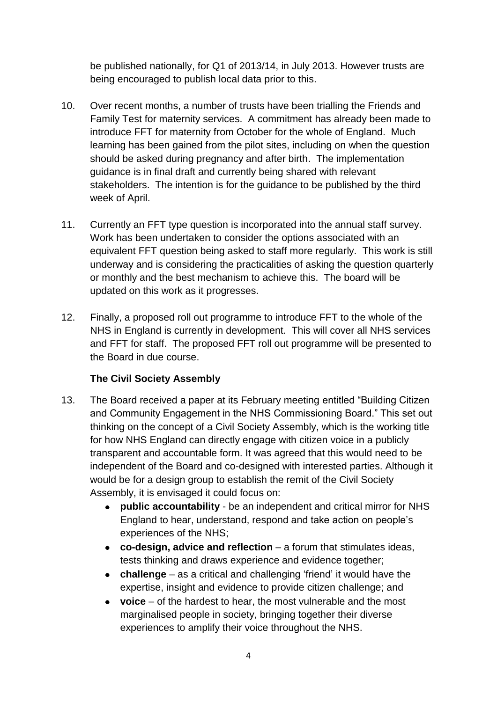be published nationally, for Q1 of 2013/14, in July 2013. However trusts are being encouraged to publish local data prior to this.

- 10. Over recent months, a number of trusts have been trialling the Friends and Family Test for maternity services. A commitment has already been made to introduce FFT for maternity from October for the whole of England. Much learning has been gained from the pilot sites, including on when the question should be asked during pregnancy and after birth. The implementation guidance is in final draft and currently being shared with relevant stakeholders. The intention is for the guidance to be published by the third week of April.
- 11. Currently an FFT type question is incorporated into the annual staff survey. Work has been undertaken to consider the options associated with an equivalent FFT question being asked to staff more regularly. This work is still underway and is considering the practicalities of asking the question quarterly or monthly and the best mechanism to achieve this. The board will be updated on this work as it progresses.
- 12. Finally, a proposed roll out programme to introduce FFT to the whole of the NHS in England is currently in development. This will cover all NHS services and FFT for staff. The proposed FFT roll out programme will be presented to the Board in due course.

# **The Civil Society Assembly**

- 13. The Board received a paper at its February meeting entitled "Building Citizen and Community Engagement in the NHS Commissioning Board." This set out thinking on the concept of a Civil Society Assembly, which is the working title for how NHS England can directly engage with citizen voice in a publicly transparent and accountable form. It was agreed that this would need to be independent of the Board and co-designed with interested parties. Although it would be for a design group to establish the remit of the Civil Society Assembly, it is envisaged it could focus on:
	- **public accountability**  be an independent and critical mirror for NHS  $\bullet$ England to hear, understand, respond and take action on people"s experiences of the NHS;
	- **co-design, advice and reflection**  a forum that stimulates ideas, tests thinking and draws experience and evidence together;
	- **challenge**  as a critical and challenging "friend" it would have the expertise, insight and evidence to provide citizen challenge; and
	- **voice**  of the hardest to hear, the most vulnerable and the most marginalised people in society, bringing together their diverse experiences to amplify their voice throughout the NHS.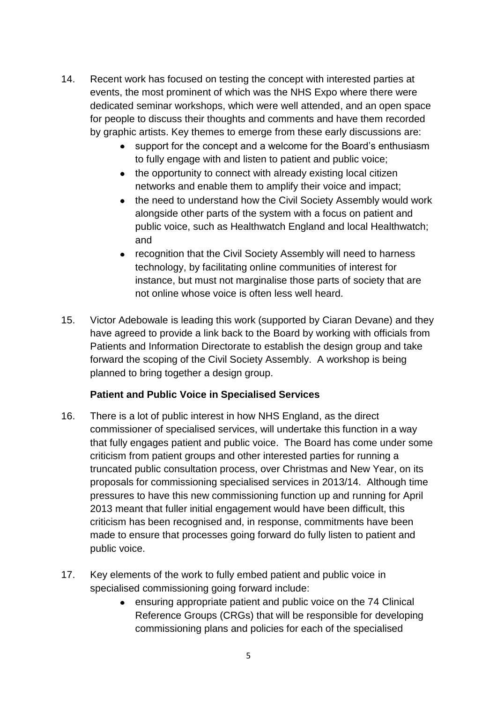- 14. Recent work has focused on testing the concept with interested parties at events, the most prominent of which was the NHS Expo where there were dedicated seminar workshops, which were well attended, and an open space for people to discuss their thoughts and comments and have them recorded by graphic artists. Key themes to emerge from these early discussions are:
	- support for the concept and a welcome for the Board"s enthusiasm to fully engage with and listen to patient and public voice;
	- the opportunity to connect with already existing local citizen networks and enable them to amplify their voice and impact;
	- the need to understand how the Civil Society Assembly would work alongside other parts of the system with a focus on patient and public voice, such as Healthwatch England and local Healthwatch; and
	- recognition that the Civil Society Assembly will need to harness technology, by facilitating online communities of interest for instance, but must not marginalise those parts of society that are not online whose voice is often less well heard.
- 15. Victor Adebowale is leading this work (supported by Ciaran Devane) and they have agreed to provide a link back to the Board by working with officials from Patients and Information Directorate to establish the design group and take forward the scoping of the Civil Society Assembly. A workshop is being planned to bring together a design group.

### **Patient and Public Voice in Specialised Services**

- 16. There is a lot of public interest in how NHS England, as the direct commissioner of specialised services, will undertake this function in a way that fully engages patient and public voice. The Board has come under some criticism from patient groups and other interested parties for running a truncated public consultation process, over Christmas and New Year, on its proposals for commissioning specialised services in 2013/14. Although time pressures to have this new commissioning function up and running for April 2013 meant that fuller initial engagement would have been difficult, this criticism has been recognised and, in response, commitments have been made to ensure that processes going forward do fully listen to patient and public voice.
- 17. Key elements of the work to fully embed patient and public voice in specialised commissioning going forward include:
	- ensuring appropriate patient and public voice on the 74 Clinical Reference Groups (CRGs) that will be responsible for developing commissioning plans and policies for each of the specialised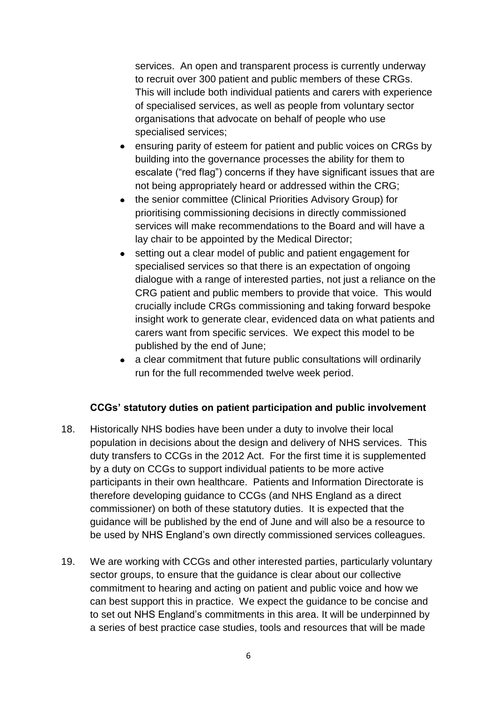services. An open and transparent process is currently underway to recruit over 300 patient and public members of these CRGs. This will include both individual patients and carers with experience of specialised services, as well as people from voluntary sector organisations that advocate on behalf of people who use specialised services;

- ensuring parity of esteem for patient and public voices on CRGs by  $\bullet$ building into the governance processes the ability for them to escalate ("red flag") concerns if they have significant issues that are not being appropriately heard or addressed within the CRG;
- the senior committee (Clinical Priorities Advisory Group) for prioritising commissioning decisions in directly commissioned services will make recommendations to the Board and will have a lay chair to be appointed by the Medical Director;
- setting out a clear model of public and patient engagement for specialised services so that there is an expectation of ongoing dialogue with a range of interested parties, not just a reliance on the CRG patient and public members to provide that voice. This would crucially include CRGs commissioning and taking forward bespoke insight work to generate clear, evidenced data on what patients and carers want from specific services. We expect this model to be published by the end of June;
- a clear commitment that future public consultations will ordinarily run for the full recommended twelve week period.

#### **CCGs' statutory duties on patient participation and public involvement**

- 18. Historically NHS bodies have been under a duty to involve their local population in decisions about the design and delivery of NHS services. This duty transfers to CCGs in the 2012 Act. For the first time it is supplemented by a duty on CCGs to support individual patients to be more active participants in their own healthcare. Patients and Information Directorate is therefore developing guidance to CCGs (and NHS England as a direct commissioner) on both of these statutory duties. It is expected that the guidance will be published by the end of June and will also be a resource to be used by NHS England"s own directly commissioned services colleagues.
- 19. We are working with CCGs and other interested parties, particularly voluntary sector groups, to ensure that the guidance is clear about our collective commitment to hearing and acting on patient and public voice and how we can best support this in practice. We expect the guidance to be concise and to set out NHS England"s commitments in this area. It will be underpinned by a series of best practice case studies, tools and resources that will be made